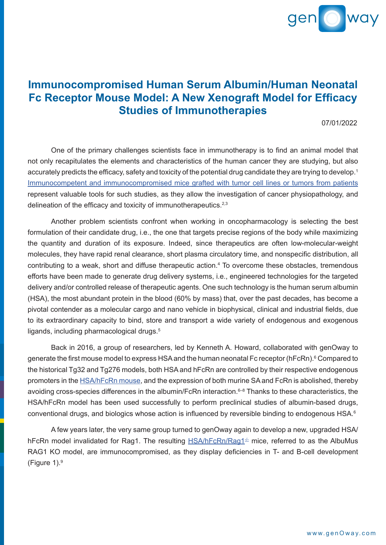

## **Immunocompromised Human Serum Albumin/Human Neonatal Fc Receptor Mouse Model: A New Xenograft Model for Efficacy Studies of Immunotherapies**

07/01/2022

 One of the primary challenges scientists face in immunotherapy is to find an animal model that not only recapitulates the elements and characteristics of the human cancer they are studying, but also accurately predicts the efficacy, safety and toxicity of the potential drug candidate they are trying to develop.<sup>1</sup> Immunocompetent and [immunocompromised](https://www.genoway.com/commentaries/tumor-grafts.htm?utm_source=case_study&utm_medium=pdf&utm_campaign=webpage) mice grafted with tumor cell lines or tumors from patients represent valuable tools for such studies, as they allow the investigation of cancer physiopathology, and delineation of the efficacy and toxicity of immunotherapeutics.<sup>2,3</sup>

 Another problem scientists confront when working in oncopharmacology is selecting the best formulation of their candidate drug, i.e., the one that targets precise regions of the body while maximizing the quantity and duration of its exposure. Indeed, since therapeutics are often low-molecular-weight molecules, they have rapid renal clearance, short plasma circulatory time, and nonspecific distribution, all contributing to a weak, short and diffuse therapeutic action.<sup>4</sup> To overcome these obstacles, tremendous efforts have been made to generate drug delivery systems, i.e., engineered technologies for the targeted delivery and/or controlled release of therapeutic agents. One such technology is the human serum albumin (HSA), the most abundant protein in the blood (60% by mass) that, over the past decades, has become a pivotal contender as a molecular cargo and nano vehicle in biophysical, clinical and industrial fields, due to its extraordinary capacity to bind, store and transport a wide variety of endogenous and exogenous ligands, including pharmacological drugs.<sup>5</sup>

 Back in 2016, a group of researchers, led by Kenneth A. Howard, collaborated with genOway to generate the first mouse model to express HSA and the human neonatal Fc receptor (hFcRn).<sup>6</sup> Compared to the historical Tg32 and Tg276 models, both HSA and hFcRn are controlled by their respective endogenous promoters in the [HSA/hFcRn](https://www.genoway.com/catalog/om/pk-pd/human-serum-albumin.htm?utm_source=case_study&utm_medium=pdf&utm_campaign=webpage) mouse, and the expression of both murine SAand FcRn is abolished, thereby avoiding cross-species differences in the albumin/FcRn interaction.<sup>6–8</sup> Thanks to these characteristics, the HSA/hFcRn model has been used successfully to perform preclinical studies of albumin-based drugs, conventional drugs, and biologics whose action is influenced by reversible binding to endogenous HSA.6

 A few years later, the very same group turned to genOway again to develop a new, upgraded HSA/ hFcRn model invalidated for Rag1. The resulting  $HSA/hFcRn/Raq1<sup>\pm</sup>$  mice, referred to as the AlbuMus RAG1 KO model, are immunocompromised, as they display deficiencies in T- and B-cell development (Figure 1).<sup>9</sup>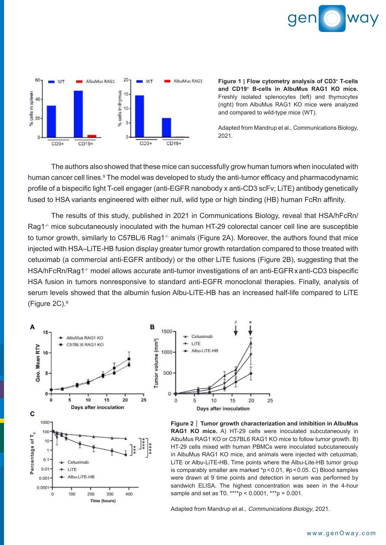



**Figure 1 | Flow cytometry analysis of CD3+ T-cells and CD19+ B-cells in AlbuMus RAG1 KO mice.** Freshly isolated splenocytes (left) and thymocytes (right) from AlbuMus RAG1 KO mice were analyzed and compared to wild-type mice (WT).

Adapted from Mandrup et al., Communications Biology, 2021.

 The authors also showed that these mice can successfully grow human tumors when inoculated with human cancer cell lines.<sup>9</sup> The model was developed to study the anti-tumor efficacy and pharmacodynamic profile of a bispecific light T-cell engager (anti-EGFR nanobody x anti-CD3 scFv; LiTE) antibody genetically fused to HSA variants engineered with either null, wild type or high binding (HB) human FcRn affinity.

 The results of this study, published in 2021 in Communications Biology, reveal that HSA/hFcRn/ Rag1<sup>-/-</sup> mice subcutaneously inoculated with the human HT-29 colorectal cancer cell line are susceptible to tumor growth, similarly to C57BL/6 Rag1<sup>-/-</sup> animals (Figure 2A). Moreover, the authors found that mice injected with HSA–LiTE-HB fusion display greater tumor growth retardation compared to those treated with cetuximab (a commercial anti-EGFR antibody) or the other LiTE fusions (Figure 2B), suggesting that the HSA/hFcRn/Rag1<sup>-/-</sup> model allows accurate anti-tumor investigations of an anti-EGFR x anti-CD3 bispecific HSA fusion in tumors nonresponsive to standard anti-EGFR monoclonal therapies. Finally, analysis of serum levels showed that the albumin fusion Albu-LiTE-HB has an increased half-life compared to LiTE (Figure 2C).<sup>9</sup>





**Figure 2 │ Tumor growth characterization and inhibition in AlbuMus RAG1 KO mice.** A) HT-29 cells were inoculated subcutaneously in AlbuMus RAG1 KO or C57BL6 RAG1 KO mice to follow tumor growth. B) HT-29 cells mixed with human PBMCs were inoculated subcutaneously in AlbuMus RAG1 KO mice, and animals were injected with cetuximab, LiTE or Albu-LiTE-HB. Time points where the Albu-Lite-HB tumor group is comparably smaller are marked \*p<0.01, #p<0.05. C) Blood samples were drawn at 9 time points and detection in serum was performed by sandwich ELISA. The highest concentration was seen in the 4-hour sample and set as T0. \*\*\*\*p <  $0.0001$ , \*\*\*p =  $0.001$ .

Adapted from Mandrup et al., Communications Biology, 2021.